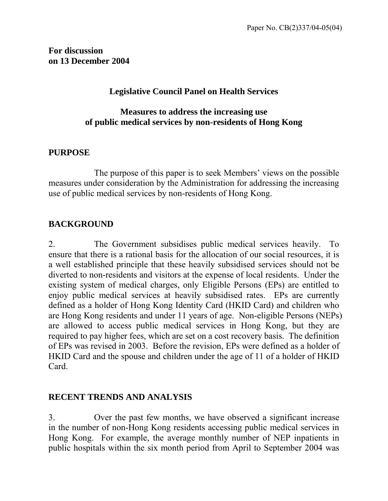**For discussion on 13 December 2004**

#### **Legislative Council Panel on Health Services**

#### **Measures to address the increasing use of public medical services by non-residents of Hong Kong**

#### **PURPOSE**

 The purpose of this paper is to seek Members' views on the possible measures under consideration by the Administration for addressing the increasing use of public medical services by non-residents of Hong Kong.

#### **BACKGROUND**

2. The Government subsidises public medical services heavily. To ensure that there is a rational basis for the allocation of our social resources, it is a well established principle that these heavily subsidised services should not be diverted to non-residents and visitors at the expense of local residents. Under the existing system of medical charges, only Eligible Persons (EPs) are entitled to enjoy public medical services at heavily subsidised rates. EPs are currently defined as a holder of Hong Kong Identity Card (HKID Card) and children who are Hong Kong residents and under 11 years of age. Non-eligible Persons (NEPs) are allowed to access public medical services in Hong Kong, but they are required to pay higher fees, which are set on a cost recovery basis. The definition of EPs was revised in 2003. Before the revision, EPs were defined as a holder of HKID Card and the spouse and children under the age of 11 of a holder of HKID Card.

#### **RECENT TRENDS AND ANALYSIS**

3. Over the past few months, we have observed a significant increase in the number of non-Hong Kong residents accessing public medical services in Hong Kong. For example, the average monthly number of NEP inpatients in public hospitals within the six month period from April to September 2004 was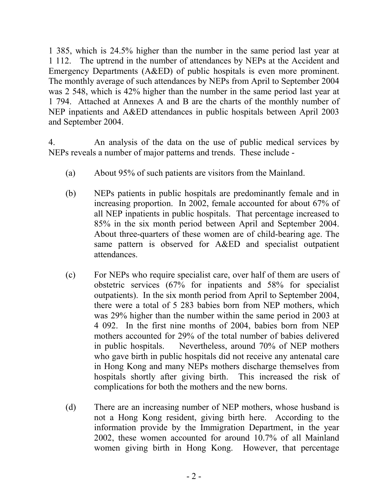1 385, which is 24.5% higher than the number in the same period last year at 1 112. The uptrend in the number of attendances by NEPs at the Accident and Emergency Departments (A&ED) of public hospitals is even more prominent. The monthly average of such attendances by NEPs from April to September 2004 was 2 548, which is 42% higher than the number in the same period last year at 1 794. Attached at Annexes A and B are the charts of the monthly number of NEP inpatients and A&ED attendances in public hospitals between April 2003 and September 2004.

4. An analysis of the data on the use of public medical services by NEPs reveals a number of major patterns and trends. These include -

- (a) About 95% of such patients are visitors from the Mainland.
- (b) NEPs patients in public hospitals are predominantly female and in increasing proportion. In 2002, female accounted for about 67% of all NEP inpatients in public hospitals. That percentage increased to 85% in the six month period between April and September 2004. About three-quarters of these women are of child-bearing age. The same pattern is observed for A&ED and specialist outpatient attendances.
- (c) For NEPs who require specialist care, over half of them are users of obstetric services (67% for inpatients and 58% for specialist outpatients). In the six month period from April to September 2004, there were a total of 5 283 babies born from NEP mothers, which was 29% higher than the number within the same period in 2003 at 4 092. In the first nine months of 2004, babies born from NEP mothers accounted for 29% of the total number of babies delivered in public hospitals. Nevertheless, around 70% of NEP mothers who gave birth in public hospitals did not receive any antenatal care in Hong Kong and many NEPs mothers discharge themselves from hospitals shortly after giving birth. This increased the risk of complications for both the mothers and the new borns.
- (d) There are an increasing number of NEP mothers, whose husband is not a Hong Kong resident, giving birth here. According to the information provide by the Immigration Department, in the year 2002, these women accounted for around 10.7% of all Mainland women giving birth in Hong Kong. However, that percentage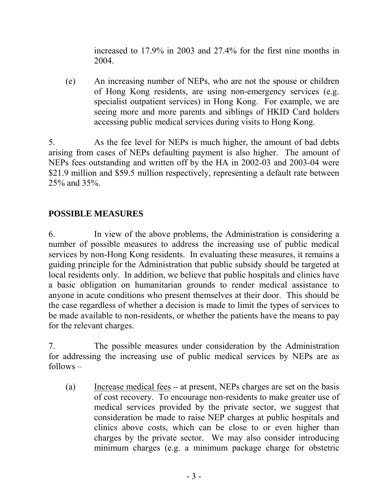increased to 17.9% in 2003 and 27.4% for the first nine months in 2004.

(e) An increasing number of NEPs, who are not the spouse or children of Hong Kong residents, are using non-emergency services (e.g. specialist outpatient services) in Hong Kong. For example, we are seeing more and more parents and siblings of HKID Card holders accessing public medical services during visits to Hong Kong.

5. As the fee level for NEPs is much higher, the amount of bad debts arising from cases of NEPs defaulting payment is also higher. The amount of NEPs fees outstanding and written off by the HA in 2002-03 and 2003-04 were \$21.9 million and \$59.5 million respectively, representing a default rate between 25% and 35%.

#### **POSSIBLE MEASURES**

6. In view of the above problems, the Administration is considering a number of possible measures to address the increasing use of public medical services by non-Hong Kong residents. In evaluating these measures, it remains a guiding principle for the Administration that public subsidy should be targeted at local residents only. In addition, we believe that public hospitals and clinics have a basic obligation on humanitarian grounds to render medical assistance to anyone in acute conditions who present themselves at their door. This should be the case regardless of whether a decision is made to limit the types of services to be made available to non-residents, or whether the patients have the means to pay for the relevant charges.

7. The possible measures under consideration by the Administration for addressing the increasing use of public medical services by NEPs are as follows –

(a) Increase medical fees *–* at present, NEPs charges are set on the basis of cost recovery. To encourage non-residents to make greater use of medical services provided by the private sector, we suggest that consideration be made to raise NEP charges at public hospitals and clinics above costs, which can be close to or even higher than charges by the private sector. We may also consider introducing minimum charges (e.g. a minimum package charge for obstetric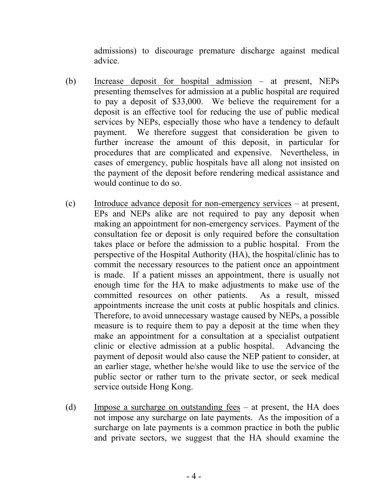admissions) to discourage premature discharge against medical advice.

- (b) Increase deposit for hospital admission at present, NEPs presenting themselves for admission at a public hospital are required to pay a deposit of \$33,000. We believe the requirement for a deposit is an effective tool for reducing the use of public medical services by NEPs, especially those who have a tendency to default payment. We therefore suggest that consideration be given to further increase the amount of this deposit, in particular for procedures that are complicated and expensive. Nevertheless, in cases of emergency, public hospitals have all along not insisted on the payment of the deposit before rendering medical assistance and would continue to do so.
- (c) Introduce advance deposit for non-emergency services at present, EPs and NEPs alike are not required to pay any deposit when making an appointment for non-emergency services. Payment of the consultation fee or deposit is only required before the consultation takes place or before the admission to a public hospital. From the perspective of the Hospital Authority (HA), the hospital/clinic has to commit the necessary resources to the patient once an appointment is made. If a patient misses an appointment, there is usually not enough time for the HA to make adjustments to make use of the committed resources on other patients. As a result, missed appointments increase the unit costs at public hospitals and clinics. Therefore, to avoid unnecessary wastage caused by NEPs, a possible measure is to require them to pay a deposit at the time when they make an appointment for a consultation at a specialist outpatient clinic or elective admission at a public hospital. Advancing the payment of deposit would also cause the NEP patient to consider, at an earlier stage, whether he/she would like to use the service of the public sector or rather turn to the private sector, or seek medical service outside Hong Kong.
- (d) Impose a surcharge on outstanding fees at present, the HA does not impose any surcharge on late payments. As the imposition of a surcharge on late payments is a common practice in both the public and private sectors, we suggest that the HA should examine the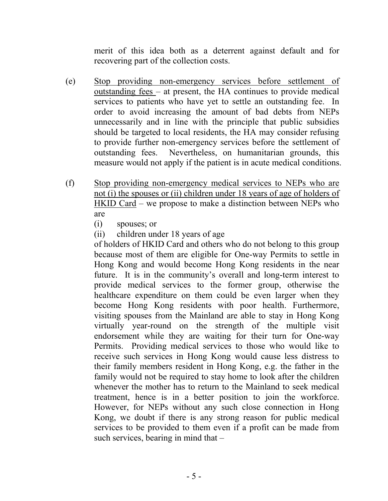merit of this idea both as a deterrent against default and for recovering part of the collection costs.

- (e) Stop providing non-emergency services before settlement of outstanding fees – at present, the HA continues to provide medical services to patients who have yet to settle an outstanding fee. In order to avoid increasing the amount of bad debts from NEPs unnecessarily and in line with the principle that public subsidies should be targeted to local residents, the HA may consider refusing to provide further non-emergency services before the settlement of outstanding fees. Nevertheless, on humanitarian grounds, this measure would not apply if the patient is in acute medical conditions.
- (f) Stop providing non-emergency medical services to NEPs who are not (i) the spouses or (ii) children under 18 years of age of holders of HKID Card – we propose to make a distinction between NEPs who are
	- (i) spouses; or
	- (ii) children under 18 years of age

of holders of HKID Card and others who do not belong to this group because most of them are eligible for One-way Permits to settle in Hong Kong and would become Hong Kong residents in the near future. It is in the community's overall and long-term interest to provide medical services to the former group, otherwise the healthcare expenditure on them could be even larger when they become Hong Kong residents with poor health. Furthermore, visiting spouses from the Mainland are able to stay in Hong Kong virtually year-round on the strength of the multiple visit endorsement while they are waiting for their turn for One-way Permits. Providing medical services to those who would like to receive such services in Hong Kong would cause less distress to their family members resident in Hong Kong, e.g. the father in the family would not be required to stay home to look after the children whenever the mother has to return to the Mainland to seek medical treatment, hence is in a better position to join the workforce. However, for NEPs without any such close connection in Hong Kong, we doubt if there is any strong reason for public medical services to be provided to them even if a profit can be made from such services, bearing in mind that –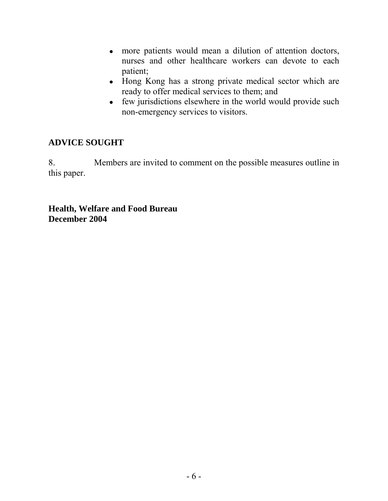- more patients would mean a dilution of attention doctors, nurses and other healthcare workers can devote to each patient;
- Hong Kong has a strong private medical sector which are ready to offer medical services to them; and
- $\bullet$  few jurisdictions elsewhere in the world would provide such non-emergency services to visitors.

### **ADVICE SOUGHT**

8. Members are invited to comment on the possible measures outline in this paper.

**Health, Welfare and Food Bureau December 2004**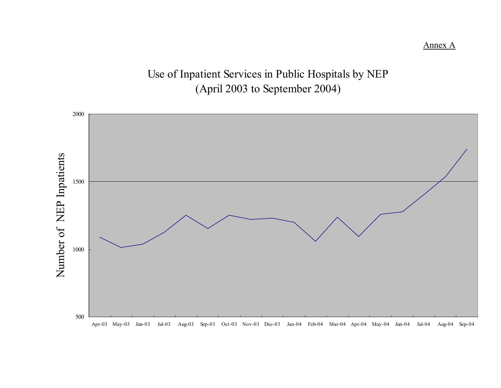# Use of Inpatient Services in Public Hospitals by NEP (April 2003 to September 2004)



Annex A